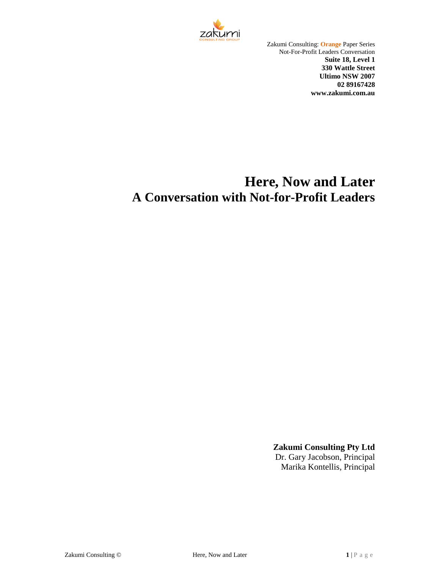

Zakumi Consulting: **Orange** Paper Series Not-For-Profit Leaders Conversation **Suite 18, Level 1 330 Wattle Street Ultimo NSW 2007 02 89167428 www.zakumi.com.au**

# **Here, Now and Later A Conversation with Not-for-Profit Leaders**

**Zakumi Consulting Pty Ltd**

Dr. Gary Jacobson, Principal Marika Kontellis, Principal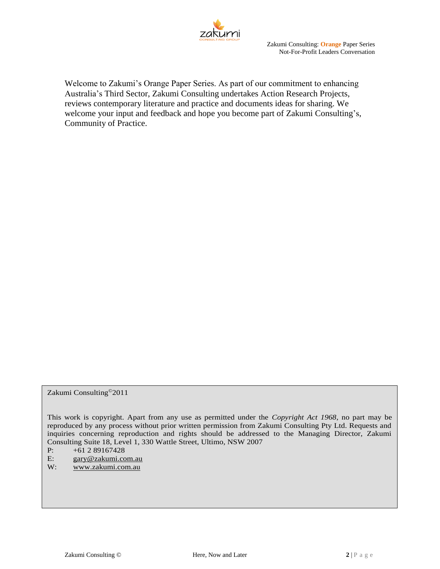

Welcome to Zakumi's Orange Paper Series. As part of our commitment to enhancing Australia's Third Sector, Zakumi Consulting undertakes Action Research Projects, reviews contemporary literature and practice and documents ideas for sharing. We welcome your input and feedback and hope you become part of Zakumi Consulting's, Community of Practice.

Zakumi Consulting©2011

This work is copyright. Apart from any use as permitted under the *Copyright Act 1968*, no part may be reproduced by any process without prior written permission from Zakumi Consulting Pty Ltd. Requests and inquiries concerning reproduction and rights should be addressed to the Managing Director, Zakumi Consulting Suite 18, Level 1, 330 Wattle Street, Ultimo, NSW 2007

P:  $+61\ 2\ 89167428$ <br>E:  $\text{gary@zakumi.co}$ 

E: [gary@zakumi.com.au](mailto:gary@zakumi.com.au)

W: [www.zakumi.com.au](http://www.zakumi.com.au/)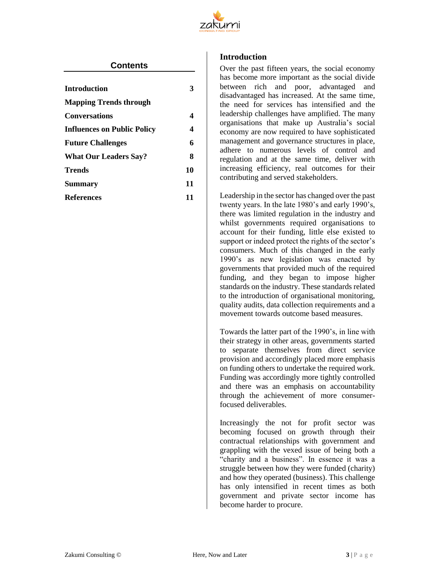

# **Contents**

| <b>Introduction</b>           |    |
|-------------------------------|----|
| <b>Mapping Trends through</b> |    |
| <b>Conversations</b>          | 4  |
| Influences on Public Policy   | 4  |
| <b>Future Challenges</b>      | 6  |
| <b>What Our Leaders Say?</b>  | 8  |
| Trends                        | 10 |
| Summary                       | 11 |
| References                    | 11 |
|                               |    |

## <span id="page-2-0"></span>**Introduction**

Over the past fifteen years, the social economy has become more important as the social divide between rich and poor, advantaged and disadvantaged has increased. At the same time, the need for services has intensified and the leadership challenges have amplified. The many organisations that make up Australia's social economy are now required to have sophisticated management and governance structures in place, adhere to numerous levels of control and regulation and at the same time, deliver with increasing efficiency, real outcomes for their contributing and served stakeholders.

Leadership in the sector has changed over the past twenty years. In the late 1980's and early 1990's, there was limited regulation in the industry and whilst governments required organisations to account for their funding, little else existed to support or indeed protect the rights of the sector's consumers. Much of this changed in the early 1990's as new legislation was enacted by governments that provided much of the required funding, and they began to impose higher standards on the industry. These standards related to the introduction of organisational monitoring, quality audits, data collection requirements and a movement towards outcome based measures.

Towards the latter part of the 1990's, in line with their strategy in other areas, governments started to separate themselves from direct service provision and accordingly placed more emphasis on funding others to undertake the required work. Funding was accordingly more tightly controlled and there was an emphasis on accountability through the achievement of more consumerfocused deliverables.

Increasingly the not for profit sector was becoming focused on growth through their contractual relationships with government and grappling with the vexed issue of being both a "charity and a business". In essence it was a struggle between how they were funded (charity) and how they operated (business). This challenge has only intensified in recent times as both government and private sector income has become harder to procure.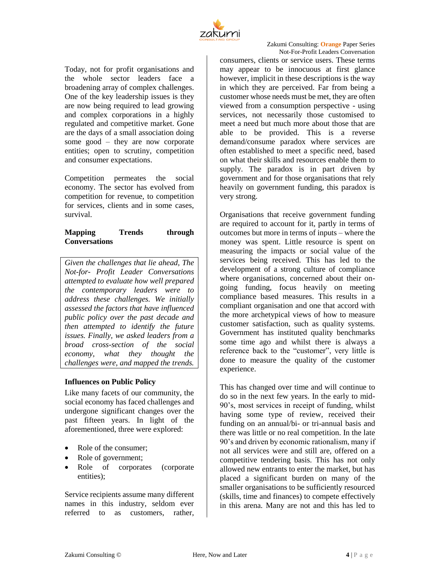

Today, not for profit organisations and the whole sector leaders face a broadening array of complex challenges. One of the key leadership issues is they are now being required to lead growing and complex corporations in a highly regulated and competitive market. Gone are the days of a small association doing some good – they are now corporate entities; open to scrutiny, competition and consumer expectations.

Competition permeates the social economy. The sector has evolved from competition for revenue, to competition for services, clients and in some cases, survival.

# <span id="page-3-0"></span>**Mapping Trends through Conversations**

*Given the challenges that lie ahead, The Not-for- Profit Leader Conversations attempted to evaluate how well prepared the contemporary leaders were to address these challenges. We initially assessed the factors that have influenced public policy over the past decade and then attempted to identify the future issues. Finally, we asked leaders from a broad cross-section of the social economy, what they thought the challenges were, and mapped the trends.*

# <span id="page-3-1"></span>**Influences on Public Policy**

Like many facets of our community, the social economy has faced challenges and undergone significant changes over the past fifteen years. In light of the aforementioned, three were explored:

- Role of the consumer:
- Role of government;
- Role of corporates (corporate entities);

Service recipients assume many different names in this industry, seldom ever referred to as customers, rather,

consumers, clients or service users. These terms may appear to be innocuous at first glance however, implicit in these descriptions is the way in which they are perceived. Far from being a customer whose needs must be met, they are often viewed from a consumption perspective - using services, not necessarily those customised to meet a need but much more about those that are able to be provided. This is a reverse demand/consume paradox where services are often established to meet a specific need, based on what their skills and resources enable them to supply. The paradox is in part driven by government and for those organisations that rely heavily on government funding, this paradox is very strong.

Organisations that receive government funding are required to account for it, partly in terms of outcomes but more in terms of inputs – where the money was spent. Little resource is spent on measuring the impacts or social value of the services being received. This has led to the development of a strong culture of compliance where organisations, concerned about their ongoing funding, focus heavily on meeting compliance based measures. This results in a compliant organisation and one that accord with the more archetypical views of how to measure customer satisfaction, such as quality systems. Government has instituted quality benchmarks some time ago and whilst there is always a reference back to the "customer", very little is done to measure the quality of the customer experience.

This has changed over time and will continue to do so in the next few years. In the early to mid-90's, most services in receipt of funding, whilst having some type of review, received their funding on an annual/bi- or tri-annual basis and there was little or no real competition. In the late 90's and driven by economic rationalism, many if not all services were and still are, offered on a competitive tendering basis. This has not only allowed new entrants to enter the market, but has placed a significant burden on many of the smaller organisations to be sufficiently resourced (skills, time and finances) to compete effectively in this arena. Many are not and this has led to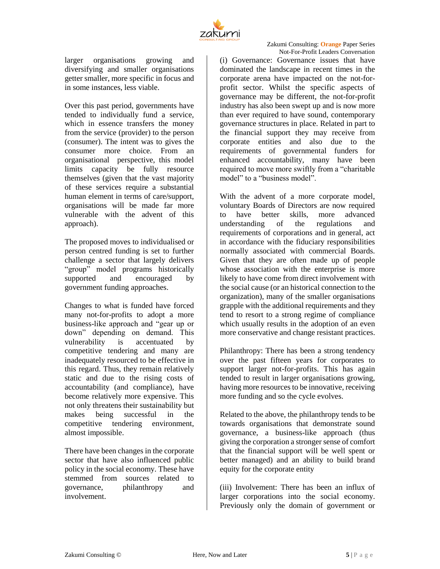

larger organisations growing and diversifying and smaller organisations getter smaller, more specific in focus and in some instances, less viable.

Over this past period, governments have tended to individually fund a service, which in essence transfers the money from the service (provider) to the person (consumer). The intent was to gives the consumer more choice. From an organisational perspective, this model limits capacity be fully resource themselves (given that the vast majority of these services require a substantial human element in terms of care/support, organisations will be made far more vulnerable with the advent of this approach).

The proposed moves to individualised or person centred funding is set to further challenge a sector that largely delivers "group" model programs historically supported and encouraged by government funding approaches.

Changes to what is funded have forced many not-for-profits to adopt a more business-like approach and "gear up or down" depending on demand. This vulnerability is accentuated by competitive tendering and many are inadequately resourced to be effective in this regard. Thus, they remain relatively static and due to the rising costs of accountability (and compliance), have become relatively more expensive. This not only threatens their sustainability but makes being successful in the competitive tendering environment, almost impossible.

There have been changes in the corporate sector that have also influenced public policy in the social economy. These have stemmed from sources related to governance, philanthropy and involvement.

(i) Governance: Governance issues that have dominated the landscape in recent times in the corporate arena have impacted on the not-forprofit sector. Whilst the specific aspects of governance may be different, the not-for-profit industry has also been swept up and is now more than ever required to have sound, contemporary governance structures in place. Related in part to the financial support they may receive from corporate entities and also due to the requirements of governmental funders for enhanced accountability, many have been required to move more swiftly from a "charitable model" to a "business model".

With the advent of a more corporate model, voluntary Boards of Directors are now required to have better skills, more advanced understanding of the regulations and requirements of corporations and in general, act in accordance with the fiduciary responsibilities normally associated with commercial Boards. Given that they are often made up of people whose association with the enterprise is more likely to have come from direct involvement with the social cause (or an historical connection to the organization), many of the smaller organisations grapple with the additional requirements and they tend to resort to a strong regime of compliance which usually results in the adoption of an even more conservative and change resistant practices.

Philanthropy: There has been a strong tendency over the past fifteen years for corporates to support larger not-for-profits. This has again tended to result in larger organisations growing, having more resources to be innovative, receiving more funding and so the cycle evolves.

Related to the above, the philanthropy tends to be towards organisations that demonstrate sound governance, a business-like approach (thus giving the corporation a stronger sense of comfort that the financial support will be well spent or better managed) and an ability to build brand equity for the corporate entity

(iii) Involvement: There has been an influx of larger corporations into the social economy. Previously only the domain of government or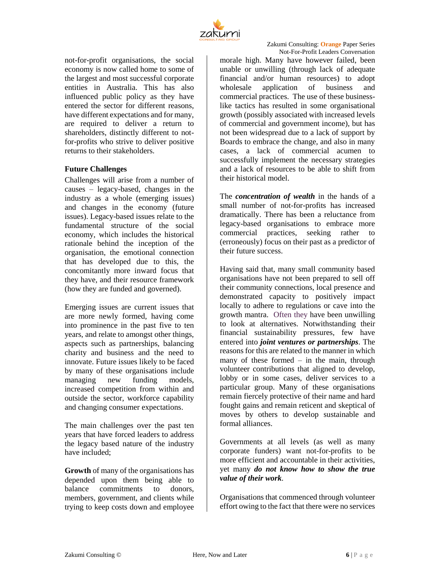

not-for-profit organisations, the social economy is now called home to some of the largest and most successful corporate entities in Australia. This has also influenced public policy as they have entered the sector for different reasons, have different expectations and for many, are required to deliver a return to shareholders, distinctly different to notfor-profits who strive to deliver positive returns to their stakeholders.

#### <span id="page-5-0"></span>**Future Challenges**

Challenges will arise from a number of causes – legacy-based, changes in the industry as a whole (emerging issues) and changes in the economy (future issues). Legacy-based issues relate to the fundamental structure of the social economy, which includes the historical rationale behind the inception of the organisation, the emotional connection that has developed due to this, the concomitantly more inward focus that they have, and their resource framework (how they are funded and governed).

Emerging issues are current issues that are more newly formed, having come into prominence in the past five to ten years, and relate to amongst other things, aspects such as partnerships, balancing charity and business and the need to innovate. Future issues likely to be faced by many of these organisations include managing new funding models, increased competition from within and outside the sector, workforce capability and changing consumer expectations.

The main challenges over the past ten years that have forced leaders to address the legacy based nature of the industry have included;

**Growth** of many of the organisations has depended upon them being able to balance commitments to donors, members, government, and clients while trying to keep costs down and employee morale high. Many have however failed, been unable or unwilling (through lack of adequate financial and/or human resources) to adopt wholesale application of business and commercial practices. The use of these businesslike tactics has resulted in some organisational growth (possibly associated with increased levels of commercial and government income), but has not been widespread due to a lack of support by Boards to embrace the change, and also in many cases, a lack of commercial acumen to successfully implement the necessary strategies and a lack of resources to be able to shift from their historical model.

The *concentration of wealth* in the hands of a small number of not-for-profits has increased dramatically. There has been a reluctance from legacy-based organisations to embrace more commercial practices, seeking rather to (erroneously) focus on their past as a predictor of their future success.

Having said that, many small community based organisations have not been prepared to sell off their community connections, local presence and demonstrated capacity to positively impact locally to adhere to regulations or cave into the growth mantra. Often they have been unwilling to look at alternatives. Notwithstanding their financial sustainability pressures, few have entered into *joint ventures or partnerships*. The reasons for this are related to the manner in which many of these formed  $-$  in the main, through volunteer contributions that aligned to develop, lobby or in some cases, deliver services to a particular group. Many of these organisations remain fiercely protective of their name and hard fought gains and remain reticent and skeptical of moves by others to develop sustainable and formal alliances.

Governments at all levels (as well as many corporate funders) want not-for-profits to be more efficient and accountable in their activities, yet many *do not know how to show the true value of their work*.

Organisations that commenced through volunteer effort owing to the fact that there were no services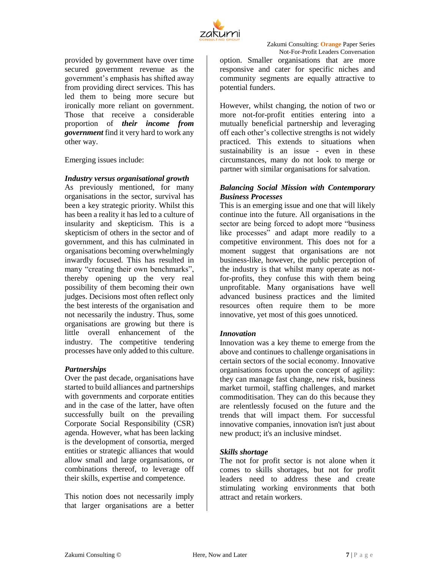

provided by government have over time secured government revenue as the government's emphasis has shifted away from providing direct services. This has led them to being more secure but ironically more reliant on government. Those that receive a considerable proportion of *their income from government* find it very hard to work any other way.

Emerging issues include:

## *Industry versus organisational growth*

As previously mentioned, for many organisations in the sector, survival has been a key strategic priority. Whilst this has been a reality it has led to a culture of insularity and skepticism. This is a skepticism of others in the sector and of government, and this has culminated in organisations becoming overwhelmingly inwardly focused. This has resulted in many "creating their own benchmarks", thereby opening up the very real possibility of them becoming their own judges. Decisions most often reflect only the best interests of the organisation and not necessarily the industry. Thus, some organisations are growing but there is little overall enhancement of the industry. The competitive tendering processes have only added to this culture.

# *Partnerships*

Over the past decade, organisations have started to build alliances and partnerships with governments and corporate entities and in the case of the latter, have often successfully built on the prevailing Corporate Social Responsibility (CSR) agenda. However, what has been lacking is the development of consortia, merged entities or strategic alliances that would allow small and large organisations, or combinations thereof, to leverage off their skills, expertise and competence.

This notion does not necessarily imply that larger organisations are a better option. Smaller organisations that are more responsive and cater for specific niches and community segments are equally attractive to potential funders.

However, whilst changing, the notion of two or more not-for-profit entities entering into a mutually beneficial partnership and leveraging off each other's collective strengths is not widely practiced. This extends to situations when sustainability is an issue - even in these circumstances, many do not look to merge or partner with similar organisations for salvation.

## *Balancing Social Mission with Contemporary Business Processes*

This is an emerging issue and one that will likely continue into the future. All organisations in the sector are being forced to adopt more "business like processes" and adapt more readily to a competitive environment. This does not for a moment suggest that organisations are not business-like, however, the public perception of the industry is that whilst many operate as notfor-profits, they confuse this with them being unprofitable. Many organisations have well advanced business practices and the limited resources often require them to be more innovative, yet most of this goes unnoticed.

# *Innovation*

Innovation was a key theme to emerge from the above and continues to challenge organisations in certain sectors of the social economy. Innovative organisations focus upon the concept of agility: they can manage fast change, new risk, business market turmoil, staffing challenges, and market commoditisation. They can do this because they are relentlessly focused on the future and the trends that will impact them. For successful innovative companies, innovation isn't just about new product; it's an inclusive mindset.

# *Skills shortage*

The not for profit sector is not alone when it comes to skills shortages, but not for profit leaders need to address these and create stimulating working environments that both attract and retain workers.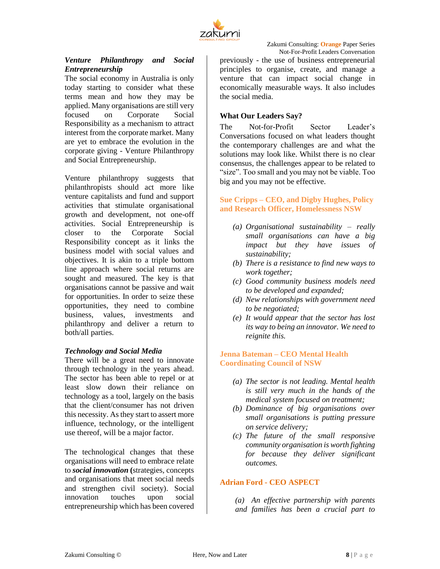

# *Venture Philanthropy and Social Entrepreneurship*

The social economy in Australia is only today starting to consider what these terms mean and how they may be applied. Many organisations are still very focused on Corporate Social Responsibility as a mechanism to attract interest from the corporate market. Many are yet to embrace the evolution in the corporate giving - Venture Philanthropy and Social Entrepreneurship.

Venture philanthropy suggests that philanthropists should act more like venture capitalists and fund and support activities that stimulate organisational growth and development, not one-off activities. Social Entrepreneurship is closer to the Corporate Social Responsibility concept as it links the business model with social values and objectives. It is akin to a triple bottom line approach where social returns are sought and measured. The key is that organisations cannot be passive and wait for opportunities. In order to seize these opportunities, they need to combine business, values, investments and philanthropy and deliver a return to both/all parties.

# *Technology and Social Media*

There will be a great need to innovate through technology in the years ahead. The sector has been able to repel or at least slow down their reliance on technology as a tool, largely on the basis that the client/consumer has not driven this necessity. As they start to assert more influence, technology, or the intelligent use thereof, will be a major factor.

The technological changes that these organisations will need to embrace relate to *social innovation* **(**strategies, concepts and organisations that meet social needs and strengthen civil society). Social innovation touches upon social entrepreneurship which has been covered previously - the use of business entrepreneurial principles to organise, create, and manage a venture that can impact social change in economically measurable ways. It also includes the social media.

## <span id="page-7-0"></span>**What Our Leaders Say?**

The Not-for-Profit Sector Leader's Conversations focused on what leaders thought the contemporary challenges are and what the solutions may look like. Whilst there is no clear consensus, the challenges appear to be related to "size". Too small and you may not be viable. Too big and you may not be effective.

**Sue Cripps – CEO, and Digby Hughes, Policy and Research Officer, Homelessness NSW**

- *(a) Organisational sustainability – really small organisations can have a big impact but they have issues of sustainability;*
- *(b) There is a resistance to find new ways to work together;*
- *(c) Good community business models need to be developed and expanded;*
- *(d) New relationships with government need to be negotiated;*
- *(e) It would appear that the sector has lost its way to being an innovator. We need to reignite this.*

## **Jenna Bateman – CEO Mental Health Coordinating Council of NSW**

- *(a) The sector is not leading. Mental health is still very much in the hands of the medical system focused on treatment;*
- *(b) Dominance of big organisations over small organisations is putting pressure on service delivery;*
- *(c) The future of the small responsive community organisation is worth fighting for because they deliver significant outcomes.*

# **Adrian Ford - CEO ASPECT**

*(a) An effective partnership with parents and families has been a crucial part to*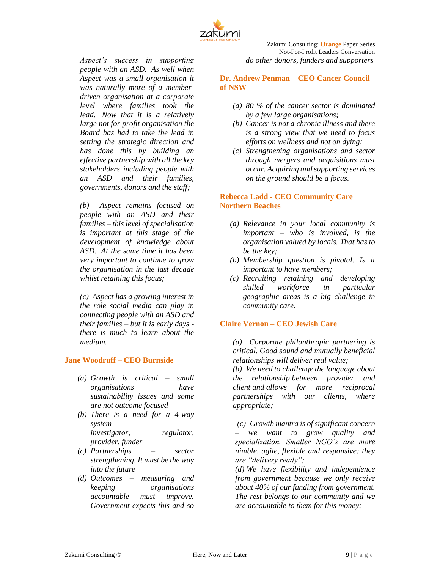

*Aspect's success in supporting people with an ASD. As well when Aspect was a small organisation it was naturally more of a memberdriven organisation at a corporate level where families took the lead. Now that it is a relatively large not for profit organisation the Board has had to take the lead in setting the strategic direction and has done this by building an effective partnership with all the key stakeholders including people with an ASD and their families, governments, donors and the staff;*

*(b) Aspect remains focused on people with an ASD and their families – this level of specialisation is important at this stage of the development of knowledge about ASD. At the same time it has been very important to continue to grow the organisation in the last decade whilst retaining this focus;*

*(c) Aspect has a growing interest in the role social media can play in connecting people with an ASD and their families – but it is early days there is much to learn about the medium.*

#### **Jane Woodruff – CEO Burnside**

- *(a) Growth is critical – small organisations have sustainability issues and some are not outcome focused*
- *(b) There is a need for a 4-way system investigator, regulator, provider, funder*
- *(c) Partnerships – sector strengthening. It must be the way into the future*
- *(d) Outcomes – measuring and keeping organisations accountable must improve. Government expects this and so*

Zakumi Consulting: **Orange** Paper Series Not-For-Profit Leaders Conversation *do other donors, funders and supporters*

**Dr. Andrew Penman – CEO Cancer Council of NSW** 

- *(a) 80 % of the cancer sector is dominated by a few large organisations;*
- *(b) Cancer is not a chronic illness and there is a strong view that we need to focus efforts on wellness and not on dying;*
- *(c) Strengthening organisations and sector through mergers and acquisitions must occur. Acquiring and supporting services on the ground should be a focus.*

## **Rebecca Ladd - CEO Community Care Northern Beaches**

- *(a) Relevance in your local community is important – who is involved, is the organisation valued by locals. That has to be the key;*
- *(b) Membership question is pivotal. Is it important to have members;*
- *(c) Recruiting retaining and developing skilled workforce in particular geographic areas is a big challenge in community care.*

#### **Claire Vernon – CEO Jewish Care**

*(a) Corporate philanthropic partnering is critical. Good sound and mutually beneficial relationships will deliver real value;*

*(b) We need to challenge the language about the relationship between provider and client and allows for more reciprocal partnerships with our clients, where appropriate;*

*(c) Growth mantra is of significant concern – we want to grow quality and specialization. Smaller NGO's are more nimble, agile, flexible and responsive; they are "delivery ready";* 

*(d) We have flexibility and independence from government because we only receive about 40% of our funding from government. The rest belongs to our community and we are accountable to them for this money;*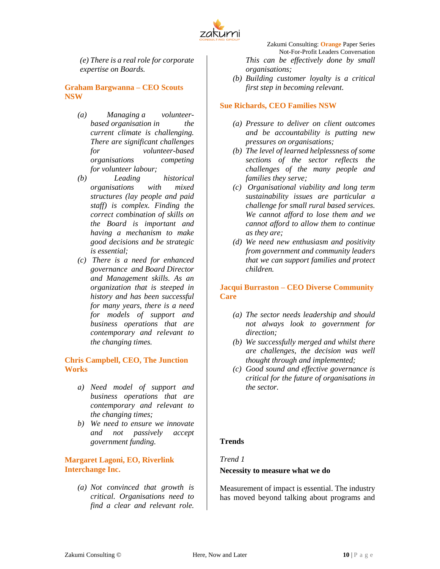

*(e) There is a real role for corporate expertise on Boards.*

#### **Graham Bargwanna – CEO Scouts NSW**

- *(a) Managing a volunteerbased organisation in the current climate is challenging. There are significant challenges for volunteer-based organisations competing for volunteer labour;*
- *(b) Leading historical organisations with mixed structures (lay people and paid staff) is complex. Finding the correct combination of skills on the Board is important and having a mechanism to make good decisions and be strategic is essential;*
- *(c) There is a need for enhanced governance and Board Director and Management skills. As an organization that is steeped in history and has been successful for many years, there is a need for models of support and business operations that are contemporary and relevant to the changing times.*

#### **Chris Campbell, CEO, The Junction Works**

- *a) Need model of support and business operations that are contemporary and relevant to the changing times;*
- *b) We need to ensure we innovate and not passively accept government funding.*

## **Margaret Lagoni, EO, Riverlink Interchange Inc.**

*(a) Not convinced that growth is critical. Organisations need to find a clear and relevant role.* 

Zakumi Consulting: **Orange** Paper Series Not-For-Profit Leaders Conversation *This can be effectively done by small organisations;*

*(b) Building customer loyalty is a critical first step in becoming relevant.*

#### **Sue Richards, CEO Families NSW**

- *(a) Pressure to deliver on client outcomes and be accountability is putting new pressures on organisations;*
- *(b) The level of learned helplessness of some sections of the sector reflects the challenges of the many people and families they serve;*
- *(c) Organisational viability and long term sustainability issues are particular a challenge for small rural based services. We cannot afford to lose them and we cannot afford to allow them to continue as they are;*
- *(d) We need new enthusiasm and positivity from government and community leaders that we can support families and protect children.*

## **Jacqui Burraston – CEO Diverse Community Care**

- *(a) The sector needs leadership and should not always look to government for direction;*
- *(b) We successfully merged and whilst there are challenges, the decision was well thought through and implemented;*
- *(c) Good sound and effective governance is critical for the future of organisations in the sector.*

# <span id="page-9-0"></span>**Trends**

#### *Trend 1*

#### **Necessity to measure what we do**

Measurement of impact is essential. The industry has moved beyond talking about programs and